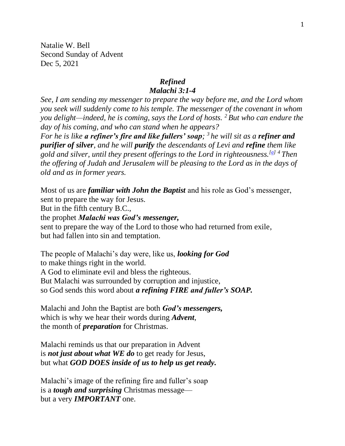Natalie W. Bell Second Sunday of Advent Dec 5, 2021

## *Refined*

#### *Malachi 3:1-4*

*See, I am sending my messenger to prepare the way before me, and the Lord whom you seek will suddenly come to his temple. The messenger of the covenant in whom you delight—indeed, he is coming, says the Lord of hosts. <sup>2</sup> But who can endure the day of his coming, and who can stand when he appears?*

*For he is like a refiner's fire and like fullers' soap; <sup>3</sup> he will sit as a refiner and purifier of silver, and he will purify the descendants of Levi and refine them like gold and silver, until they present offerings to the Lord in righteousness.[\[a\]](https://www.biblegateway.com/passage/?search=Malachi+3&version=NRSV#fen-NRSV-23124a) <sup>4</sup> Then the offering of Judah and Jerusalem will be pleasing to the Lord as in the days of old and as in former years.*

Most of us are *familiar with John the Baptist* and his role as God's messenger, sent to prepare the way for Jesus. But in the fifth century B.C., the prophet *Malachi was God's messenger,*

sent to prepare the way of the Lord to those who had returned from exile, but had fallen into sin and temptation.

The people of Malachi's day were, like us, *looking for God* to make things right in the world. A God to eliminate evil and bless the righteous. But Malachi was surrounded by corruption and injustice, so God sends this word about *a refining FIRE and fuller's SOAP.*

Malachi and John the Baptist are both *God's messengers,* which is why we hear their words during *Advent*, the month of *preparation* for Christmas.

Malachi reminds us that our preparation in Advent is *not just about what WE do* to get ready for Jesus, but what *GOD DOES inside of us to help us get ready.*

Malachi's image of the refining fire and fuller's soap is a *tough and surprising* Christmas message but a very *IMPORTANT* one.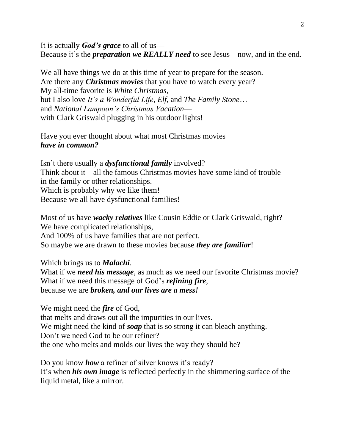It is actually *God's grace* to all of us— Because it's the *preparation we REALLY need* to see Jesus—now, and in the end.

We all have things we do at this time of year to prepare for the season. Are there any *Christmas movies* that you have to watch every year? My all-time favorite is *White Christmas,*  but I also love *It's a Wonderful Life, Elf,* and *The Family Stone*… and *National Lampoon's Christmas Vacation* with Clark Griswald plugging in his outdoor lights!

Have you ever thought about what most Christmas movies *have in common?*

Isn't there usually a *dysfunctional family* involved? Think about it—all the famous Christmas movies have some kind of trouble in the family or other relationships. Which is probably why we like them! Because we all have dysfunctional families!

Most of us have *wacky relatives* like Cousin Eddie or Clark Griswald, right? We have complicated relationships, And 100% of us have families that are not perfect. So maybe we are drawn to these movies because *they are familiar*!

Which brings us to *Malachi*.

What if we *need his message*, as much as we need our favorite Christmas movie? What if we need this message of God's *refining fire*, because we are *broken, and our lives are a mess!*

We might need the *fire* of God, that melts and draws out all the impurities in our lives. We might need the kind of **soap** that is so strong it can bleach anything. Don't we need God to be our refiner? the one who melts and molds our lives the way they should be?

Do you know *how* a refiner of silver knows it's ready? It's when *his own image* is reflected perfectly in the shimmering surface of the liquid metal, like a mirror.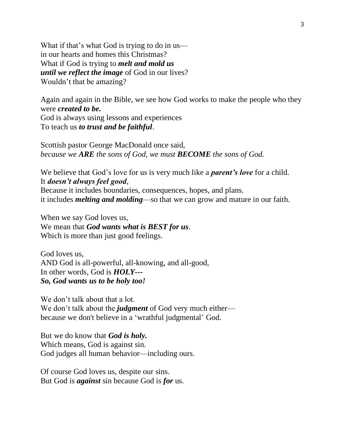What if that's what God is trying to do in us in our hearts and homes this Christmas? What if God is trying to *melt and mold us until we reflect the image* of God in our lives? Wouldn't that be amazing?

Again and again in the Bible, we see how God works to make the people who they were *created to be.*  God is always using lessons and experiences To teach us *to trust and be faithful*.

Scottish pastor George MacDonald once said, *because we ARE the sons of God, we must BECOME the sons of God.* 

We believe that God's love for us is very much like a *parent's love* for a child. It *doesn't always feel good*,

Because it includes boundaries, consequences, hopes, and plans. it includes *melting and molding*—so that we can grow and mature in our faith.

When we say God loves us, We mean that *God wants what is BEST for us*. Which is more than just good feelings.

God loves us, AND God is all-powerful, all-knowing, and all-good, In other words, God is *HOLY--- So, God wants us to be holy too!*

We don't talk about that a lot. We don't talk about the *judgment* of God very much either because we don't believe in a 'wrathful judgmental' God.

But we do know that *God is holy.*  Which means, God is against sin. God judges all human behavior—including ours.

Of course God loves us, despite our sins. But God is *against* sin because God is *for* us.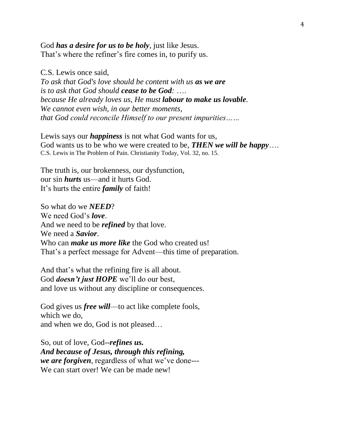God *has a desire for us to be holy*, just like Jesus. That's where the refiner's fire comes in, to purify us.

C.S. Lewis once said, *To ask that God's love should be content with us as we are is to ask that God should cease to be God:* …. *because He already loves us, He must labour to make us lovable. We cannot even wish, in our better moments, that God could reconcile Himself to our present impurities……*

Lewis says our *happiness* is not what God wants for us, God wants us to be who we were created to be, *THEN we will be happy*…. C.S. Lewis in The Problem of Pain. Christianity Today, Vol. 32, no. 15.

The truth is, our brokenness, our dysfunction, our sin *hurts* us—and it hurts God. It's hurts the entire *family* of faith!

So what do we *NEED*? We need God's *love*. And we need to be *refined* by that love. We need a *Savior*. Who can *make us more like* the God who created us! That's a perfect message for Advent—this time of preparation.

And that's what the refining fire is all about. God *doesn't just HOPE* we'll do our best, and love us without any discipline or consequences.

God gives us *free will*—to act like complete fools, which we do, and when we do, God is not pleased…

So, out of love, God--*refines us. And because of Jesus, through this refining, we are forgiven*, regardless of what we've done--- We can start over! We can be made new!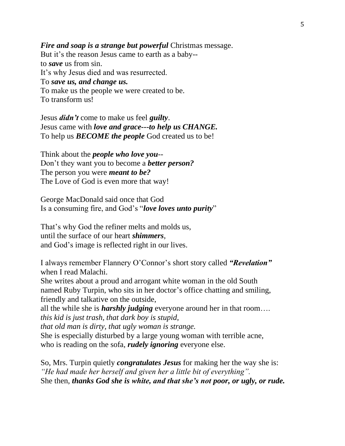#### *Fire and soap is a strange but powerful Christmas message.*

But it's the reason Jesus came to earth as a baby- to *save* us from sin. It's why Jesus died and was resurrected. To *save us, and change us.* To make us the people we were created to be. To transform us!

Jesus *didn't* come to make us feel *guilty*. Jesus came with *love and grace---to help us CHANGE.* To help us *BECOME the people* God created us to be!

Think about the *people who love you*-- Don't they want you to become a *better person?* The person you were *meant to be?*  The Love of God is even more that way!

George MacDonald said once that God Is a consuming fire, and God's "*love loves unto purity*"

That's why God the refiner melts and molds us, until the surface of our heart *shimmers*, and God's image is reflected right in our lives.

I always remember Flannery O'Connor's short story called *"Revelation"* when I read Malachi.

She writes about a proud and arrogant white woman in the old South named Ruby Turpin, who sits in her doctor's office chatting and smiling, friendly and talkative on the outside,

all the while she is *harshly judging* everyone around her in that room…. *this kid is just trash, that dark boy is stupid,* 

*that old man is dirty, that ugly woman is strange.* 

She is especially disturbed by a large young woman with terrible acne, who is reading on the sofa, *rudely ignoring* everyone else.

So, Mrs. Turpin quietly *congratulates Jesus* for making her the way she is: *"He had made her herself and given her a little bit of everything".*  She then, *thanks God she is white, and that she's not poor, or ugly, or rude.*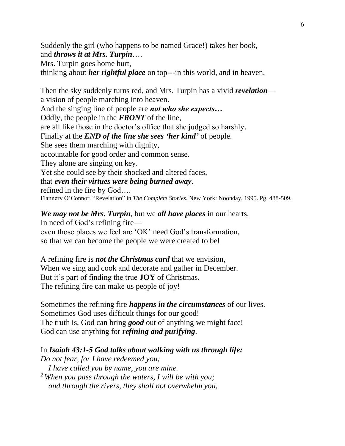Suddenly the girl (who happens to be named Grace!) takes her book, and *throws it at Mrs. Turpin*….

Mrs. Turpin goes home hurt,

thinking about *her rightful place* on top---in this world, and in heaven.

Then the sky suddenly turns red, and Mrs. Turpin has a vivid *revelation* a vision of people marching into heaven. And the singing line of people are *not who she expects…* Oddly, the people in the *FRONT* of the line, are all like those in the doctor's office that she judged so harshly. Finally at the *END of the line she sees 'her kind'* of people. She sees them marching with dignity, accountable for good order and common sense. They alone are singing on key. Yet she could see by their shocked and altered faces, that *even their virtues were being burned away*. refined in the fire by God…. Flannery O'Connor. "Revelation" in *The Complete Stories*. New York: Noonday, 1995. Pg. 488-509.

# *We may not be Mrs. Turpin*, but we *all have places* in our hearts,

In need of God's refining fire even those places we feel are 'OK' need God's transformation, so that we can become the people we were created to be!

A refining fire is *not the Christmas card* that we envision, When we sing and cook and decorate and gather in December. But it's part of finding the true **JOY** of Christmas. The refining fire can make us people of joy!

Sometimes the refining fire *happens in the circumstances* of our lives. Sometimes God uses difficult things for our good! The truth is, God can bring *good* out of anything we might face! God can use anything for *refining and purifying*.

# In *Isaiah 43:1-5 God talks about walking with us through life:*

*Do not fear, for I have redeemed you;*

 *I have called you by name, you are mine.*

*<sup>2</sup> When you pass through the waters, I will be with you; and through the rivers, they shall not overwhelm you,*